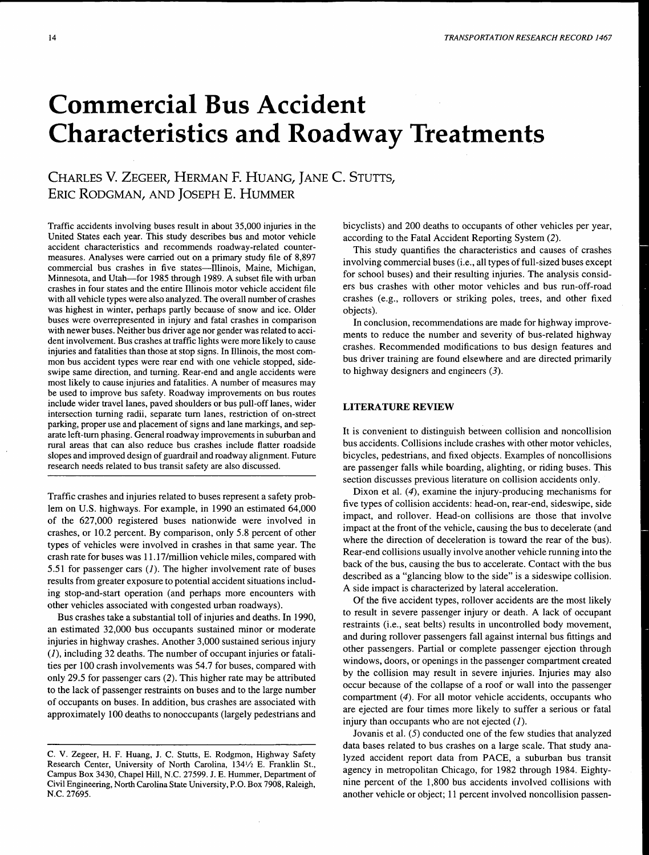# **Commercial Bus Accident Characteristics and Roadway Treatments**

CHARLES V. ZEGEER, HERMAN F. HUANG, JANE C. STUTTS, ERIC RODGMAN, AND JOSEPH E. HUMMER

Traffic accidents involving buses result in about 35,000 injuries in the United States each year. This study describes bus and motor vehicle accident characteristics and recommends roadway-related countermeasures. Analyses were carried out on a primary study file of 8,897 commercial bus crashes in five states-Illinois, Maine, Michigan, Minnesota, and Utah-for 1985 through 1989. A subset file with urban crashes in four states and the entire Illinois motor vehicle accident file with all vehicle types were also analyzed. The overall number of crashes was highest in winter, perhaps partly because of snow and ice. Older buses were overrepresented in injury and fatal crashes in comparison with newer buses. Neither bus driver age nor gender was related to accident involvement. Bus crashes at traffic lights were more likely to cause injuries and fatalities than those at stop signs. In Illinois, the most common bus accident types were rear end with one vehicle stopped, sideswipe same direction, and turning. Rear-end and angle accidents were most likely to cause injuries and fatalities. A number of measures may be used to improve bus safety. Roadway improvements on bus routes include wider travel lanes, paved shoulders or bus pull-off lanes, wider intersection turning radii, separate tum lanes, restriction of on-street parking, proper use and placement of signs and lane markings, and separate left-tum phasing. General roadway improvements in suburban and rural areas that can also reduce bus crashes include flatter roadside slopes and improved design of guardrail and roadway alignment. Future research needs related to bus transit safety are also discussed.

Traffic crashes and injuries related to buses represent a safety problem on U.S. highways. For example, in 1990 an estimated 64,000 of the 627,000 registered buses nationwide were involved in crashes, or 10.2 percent. By comparison, only 5.8 percent of other types of vehicles were involved in crashes in that same year. The crash rate for buses was 11.17 /million vehicle miles, compared with 5.51 for passenger cars  $(I)$ . The higher involvement rate of buses results from greater exposure to potential accident situations including stop-and-start operation (and perhaps more encounters with other vehicles associated with congested urban roadways).

Bus crashes take a substantial toll of injuries and deaths. In 1990, an estimated 32,000 bus occupants sustained minor or moderate injuries in highway crashes. Another 3,000 sustained serious injury  $(1)$ , including 32 deaths. The number of occupant injuries or fatalities per 100 crash involvements was 54.7 for buses, compared with only 29.5 for passenger cars (2). This higher rate may be attributed to the lack of passenger restraints on buses and to the large number of occupants on buses. In addition, bus crashes are associated with approximately 100 deaths to nonoccupants (largely pedestrians and

bicyclists) and 200 deaths to occupants of other vehicles per year, according to the Fatal Accident Reporting System (2).

This study quantifies the characteristics and causes of crashes involving commercial buses (i.e., all types of full-sized buses except for school buses) and their resulting injuries. The analysis considers bus crashes with other motor vehicles and bus run-off-road crashes (e.g., rollovers or striking poles, trees, and other fixed objects).

In conclusion, recommendations are made for highway improvements to reduce the number and severity of bus-related highway crashes. Recommended modifications to bus design features and bus driver training are found elsewhere and are directed primarily to highway designers and engineers  $(3)$ .

# LITERATURE REVIEW

It is convenient to distinguish between collision and noncollision bus accidents. Collisions include crashes with other motor vehicles, bicycles, pedestrians, and fixed objects. Examples of noncollisions are passenger falls while boarding, alighting, or riding buses. This section discusses previous literature on collision accidents only.

Dixon et al. (4), examine the injury-producing mechanisms for five types of collision accidents: head-on, rear-end, sideswipe, side impact, and rollover. Head-on collisions are those that involve impact at the front of the vehicle, causing the bus to decelerate (and where the direction of deceleration is toward the rear of the bus). Rear-end collisions usually involve another vehicle running into the back of the bus, causing the bus to accelerate. Contact with the bus described as a "glancing blow to the side" is a sideswipe collision. A side impact is characterized by lateral acceleration.

Of the five accident types, rollover accidents are the most likely to result in severe passenger injury or death. A lack of occupant restraints (i.e., seat belts) results in uncontrolled body movement, and during rollover passengers fall against internal bus fittings and other passengers. Partial or complete passenger ejection through windows, doors, or openings in the passenger compartment created by the collision may result in severe injuries. Injuries may also occur because of the collapse of a roof or wall into the passenger compartment (4). For all motor vehicle accidents, occupants who are ejected are four times more likely to suffer a serious or fatal injury than occupants who are not ejected  $(1)$ .

Jovanis et al. (5) conducted one of the few studies that analyzed data bases related to bus crashes on a large scale. That study analyzed accident report data from PACE, a suburban bus transit agency in metropolitan Chicago, for 1982 through 1984. Eightynine percent of the 1,800 bus accidents involved collisions with another vehicle or object; 11 percent involved noncollision passen-

C. V. Zegeer, H. F. Huang, J. C. Stutts, E. Rodgmon, Highway Safety Research Center, University of North Carolina, 1341/2 E. Franklin St., Campus Box 3430, Chapel Hill, N.C. 27599. J.E. Hummer, Department of Civil Engineering, North Carolina State University, P.O. Box 7908, Raleigh, N.C. 27695.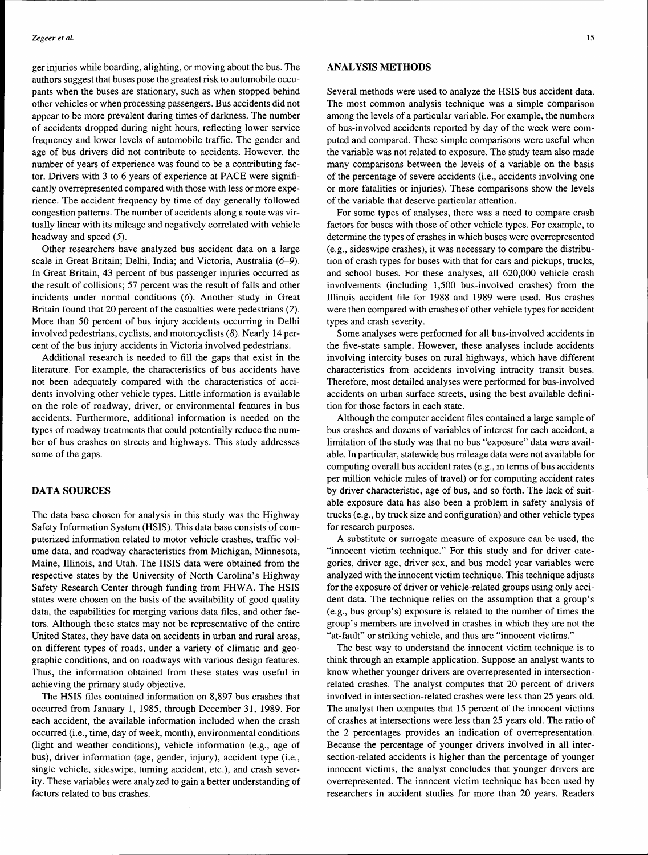ger injuries while boarding, alighting, or moving about the bus. The authors suggest that buses pose the greatest risk to automobile occupants when the buses are stationary, such as when stopped behind other vehicles or when processing passengers. Bus accidents did not appear to be more prevalent during times of darkness. The number of accidents dropped during night hours, reflecting lower service frequency and lower levels of automobile traffic. The gender and age of bus drivers did not contribute to accidents. However, the number of years of experience was found to be a contributing factor. Drivers with 3 to 6 years of experience at PACE were significantly overrepresented compared with those with less or more experience. The accident frequency by time of day generally followed congestion patterns. The number of accidents along a route was virtually linear with its mileage and negatively correlated with vehicle headway and speed (5).

Other researchers have analyzed bus accident data on a large scale in Great Britain; Delhi, India; and Victoria, Australia (6-9). In Great Britain, 43 percent of bus passenger injuries occurred as the result of collisions; 57 percent was the result of falls and other incidents under normal conditions (6). Another study in Great Britain found that 20 percent of the casualties were pedestrians (7). More than 50 percent of bus injury accidents occurring in Delhi involved pedestrians, cyclists, and motorcyclists (8). Nearly 14 percent of the bus injury accidents in Victoria involved pedestrians.

Additional research is needed to fill the gaps that exist in the literature. For example, the characteristics of bus accidents have not been adequately compared with the characteristics of accidents involving other vehicle types. Little information is available on the role of roadway, driver, or environmental features in bus accidents. Furthermore, additional information is needed on the types of roadway treatments that could potentially reduce the number of bus crashes on streets and highways. This study addresses some of the gaps.

## **DATA SOURCES**

The data base chosen for analysis in this study was the Highway Safety Information System (HSIS). This data base consists of computerized information related to motor vehicle crashes, traffic volume data, and roadway characteristics from Michigan, Minnesota, Maine, Illinois, and Utah. The HSIS data were obtained from the respective states by the University of North Carolina's Highway Safety Research Center through funding from FHWA. The HSIS states were chosen on the basis of the availability of good quality data, the capabilities for merging various data files, and other factors. Although these states may not be representative of the entire United States, they have data on accidents in urban and rural areas, on different types of roads, under a variety of climatic and geographic conditions, and on roadways with various design features. Thus, the information obtained from these states was useful in achieving the primary study objective.

The HSIS files contained information on 8,897 bus crashes that occurred from January 1, 1985, through December 31, 1989. For each accident, the available information included when the crash occurred (i.e., time, day of week, month), environmental conditions (light and weather conditions), vehicle information (e.g., age of bus), driver information (age, gender, injury), accident type (i.e., single vehicle, sideswipe, turning accident, etc.), and crash severity. These variables were analyzed to gain a better understanding of factors related to bus crashes.

## **ANALYSIS METHODS**

Several methods were used to analyze the HSIS bus accident data. The most common analysis technique was a simple comparison among the levels of a particular variable. For example, the numbers of bus-involved accidents reported by day of the week were computed and compared. These simple comparisons were useful when the variable was not related to exposure. The study team also made many comparisons between the levels of a variable on the basis of the percentage of severe accidents (i.e., accidents involving one or more fatalities or injuries). These comparisons show the levels of the variable that deserve particular attention.

For some types of analyses, there was a need to compare crash factors for buses with those of other vehicle types. For example, to determine the types of crashes in which buses were overrepresented (e.g., sideswipe crashes), it was necessary to compare the distribution of crash types for buses with that for cars and pickups, trucks, and school buses. For these analyses, all 620,000 vehicle crash involvements (including 1,500 bus-involved crashes) from the Illinois accident file for 1988 and 1989 were used. Bus crashes were then compared with crashes of other vehicle types for accident types and crash severity.

Some analyses were performed for all bus-involved accidents in the five-state sample. However, these analyses include accidents involving intercity buses on rural highways, which have different characteristics from accidents involving intracity transit buses. Therefore, most detailed analyses were performed for bus-involved accidents on urban surface streets, using the best available definition for those factors in each state.

Although the computer accident files contained a large sample of bus crashes and dozens of variables of interest for each accident, a limitation of the study was that no bus "exposure" data were available. In particular, statewide bus mileage data were not available for computing overall bus accident rates (e.g., in terms of bus accidents per million vehicle miles of travel) or for computing accident rates by driver characteristic, age of bus, and so forth. The lack of suitable exposure data has also been a problem in safety analysis of trucks (e.g., by truck size and configuration) and other vehicle types for research purposes.

A substitute or surrogate measure of exposure can be used, the "innocent victim technique." For this study and for driver categories, driver age, driver sex, and bus model year variables were analyzed with the innocent victim technique. This technique adjusts for the exposure of driver or vehicle-related groups using only accident data. The technique relies on the assumption that a group's (e.g., bus group's) exposure is related to the number of times the group's members are involved in crashes in which they are not the "at-fault" or striking vehicle, and thus are "innocent victims."

The best way to understand the innocent victim technique is to think through an example application. Suppose an analyst wants to know whether younger drivers are overrepresented in intersectionrelated crashes. The analyst computes that 20 percent of drivers involved in intersection-related crashes were less than 25 years old. The analyst then computes that 15 percent of the innocent victims of crashes at intersections were less than 25 years old. The ratio of the 2 percentages provides an indication of overrepresentation. Because the percentage of younger drivers involved in all intersection-related accidents is higher than the percentage of younger innocent victims, the analyst concludes that younger drivers are overrepresented. The innocent victim technique has been used by researchers in accident studies for more than 20 years. Readers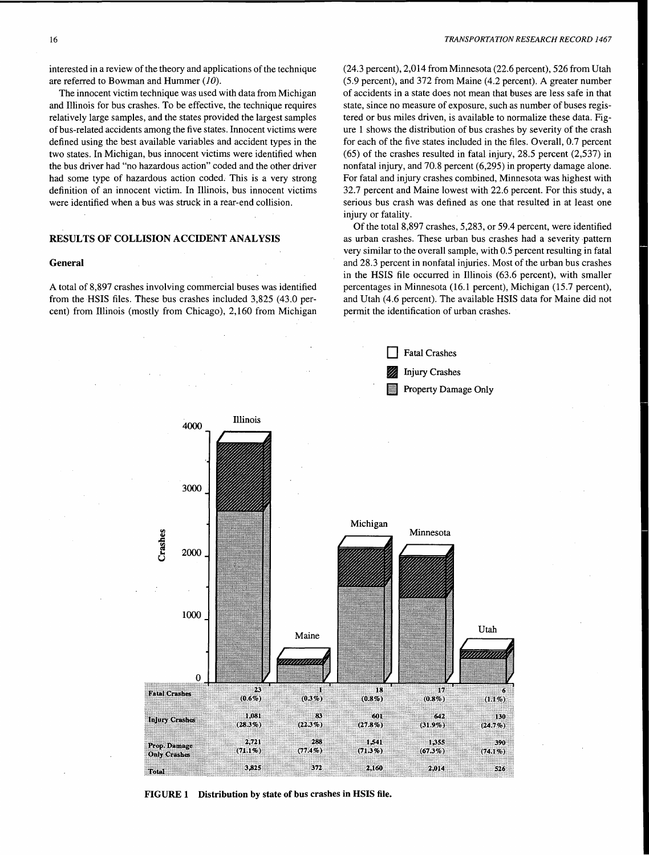interested in a review of the theory and applications of the technique are referred to Bowman and Hummer (10).

The innocent victim technique was used with data from Michigan and Illinois for bus crashes. To be effective, the technique requires relatively large samples, and the states provided the largest samples of bus-related accidents among the five states. Innocent victims were defined using the best available variables and accident types in the two states. In Michigan, bus innocent victims were identified when the bus driver had "no hazardous action" coded and the other driver had some type of hazardous action coded. This is a very strong definition of an innocent victim. In Illinois, bus innocent victims were identified when a bus was struck in a rear-end collision.

# RESULTS OF COLLISION ACCIDENT ANALYSIS

#### General

A total of 8,897 crashes involving commercial buses was identified from the HSIS files. These bus crashes included 3,825 (43.0 percent) from Illinois (mostly from Chicago), 2,160 from Michigan

(24.3 percent), 2,014 from Minnesota (22.6 percent), 526 from Utah (5.9 percent), and 372 from Maine (4.2 percent). A greater number of accidents in a state does not mean that buses are less safe in that state, since no measure of exposure, such as number of buses registered or bus miles driven, is available to normalize these data. Figure 1 shows the distribution of bus crashes by severity of the crash for each of the five states included in the files. Overall, 0.7 percent (65) of the crashes resulted in fatal injury, 28.5 percent (2,537) in nonfatal injury, and 70.8 percent (6,295) in property damage alone. For fatal and injury crashes combined, Minnesota was highest with 32.7 percent and Maine lowest with 22.6 percent. For this study, a serious bus crash was defined as one that resulted in at least one injury or fatality.

Of the total 8,897 crashes, 5,283, or 59.4 percent, were identified as urban crashes. These urban bus crashes had a severity pattern very similar to the overall sample, with 0.5 percent resulting in fatal and 28.3 percent in nonfatal injuries. Most of the urban bus crashes in the HSIS file occurred in Illinois (63.6 percent), with smaller percentages in Minnesota (16.1 percent), Michigan (15.7 percent), and Utah (4.6 percent). The available HSIS data for Maine did not permit the identification of urban crashes.



FIGURE 1 Distribution by state of bus crashes in HSIS file.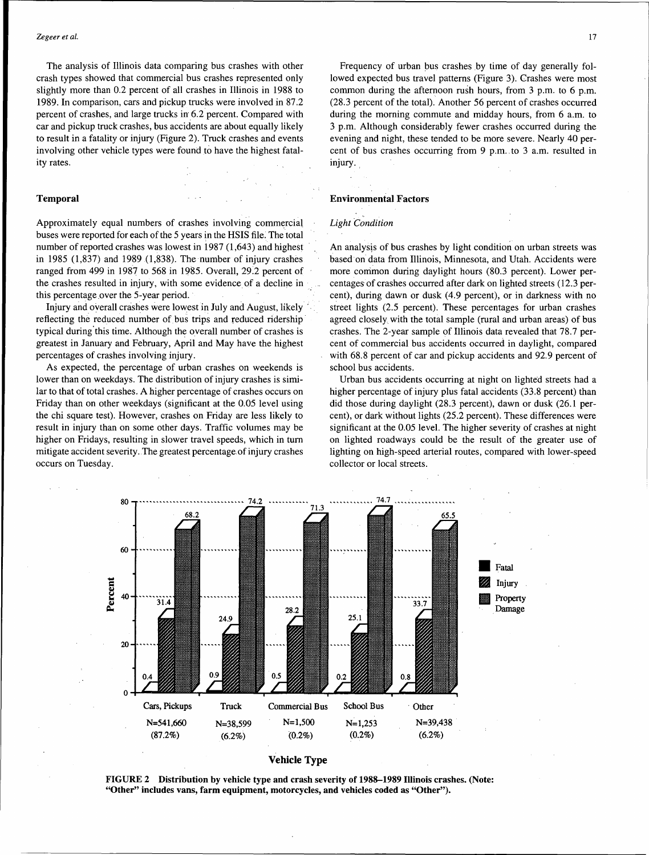The analysis of Illinois data comparing bus crashes with other crash types showed that commercial bus crashes represented only slightly more than 0.2 percent of all crashes in Illinois in 1988 to 1989. In comparison, cars and pickup trucks were involved in 87.2 percent of crashes, and large trucks in 6.2 percent. Compared with car and pickup truck crashes, bus accidents are about equally likely to result in a fatality or injury (Figure 2). Truck crashes and events involving other vehicle types were found to have the highest fatality rates.

#### Temporal

Approximately equal numbers of crashes involving commercial buses were reported for each of the 5 years in the HSIS file. The total number of reported crashes was lowest in 1987 (1,643) and highest in 1985 (1,837) and 1989 (1,838). The number of injury crashes ranged from 499 in 1987 to 568 in 1985. Overall, 29:2 percent of the crashes resulted in injury, with some evidence of a decline in this percentage over the 5-year period.

Injury and overall crashes were lowest in July and August, likely .. reflecting the reduced number of bus trips and reduced ridership typical during this time. Although the overall number of crashes is greatest in January and February, April and May have the highest percentages of crashes involving injury.

As expected, the percentage of urban crashes on weekends is lower than on weekdays. The distribution of injury crashes is similar to that of total crashes. A higher percentage of crashes occurs on Friday than on other weekdays (significant at the 0.05 level using the chi square test). However, crashes on Friday are less likely to result in injury than on some other days. Traffic volumes may be higher on Fridays, resulting in slower travel speeds, which in tum mitigate accident severity. The greatest percentage.of injury crashes occurs on Tuesday.

Frequency of urban bus crashes by time of day generally followed expected bus travel patterns (Figure 3). Crashes were most common during the afternoon rush hours, from 3 p.m. to 6 p.m. (28.3 percent of the total). Another 56 percent of crashes occurred during the morning commute and midday hours, from 6 a.m. to 3 p.m. Although considerably fewer crashes occurred during the evening and night, these tended to be more severe. Nearly 40 percent of bus crashes occurring from 9 p.m .. to 3 a.m. resulted in injury.

#### Environmental Factors

#### *Light Condition*

An analysis of bus crashes by light condition on urban streets was based on data from Illinois, Minnesota, and Utah. Accidents were more common during daylight hours (80.3 percent). Lower percentages· of crashes occurred after dark on lighted streets (12.3 percent), during dawn or dusk (4.9 percent), or in darkness with no street lights (2.5 percent). These percentages for urban crashes agreed closely with the total sample (rural and urban areas) of bus crashes. The 2-year sample of Illinois data revealed that 78.7 percent of commercial bus accidents occurred in daylight, compared with 68.8 percent of car and pickup accidents and 92.9 percent of school bus accidents.

Urban bus accidents occurring at night on lighted streets had a higher percentage of injury plus fatal accidents (33.8 percent) than did those during daylight (28.3 percent), dawn or dusk (26.1 percent), or dark without lights (25.2 percent). These differences were significant at the 0.05 level. The higher severity of crashes at night on lighted roadways could be the result of the greater use of lighting on high-speed arterial routes, compared with lower-speed collector or local streets .



Vehicle Type

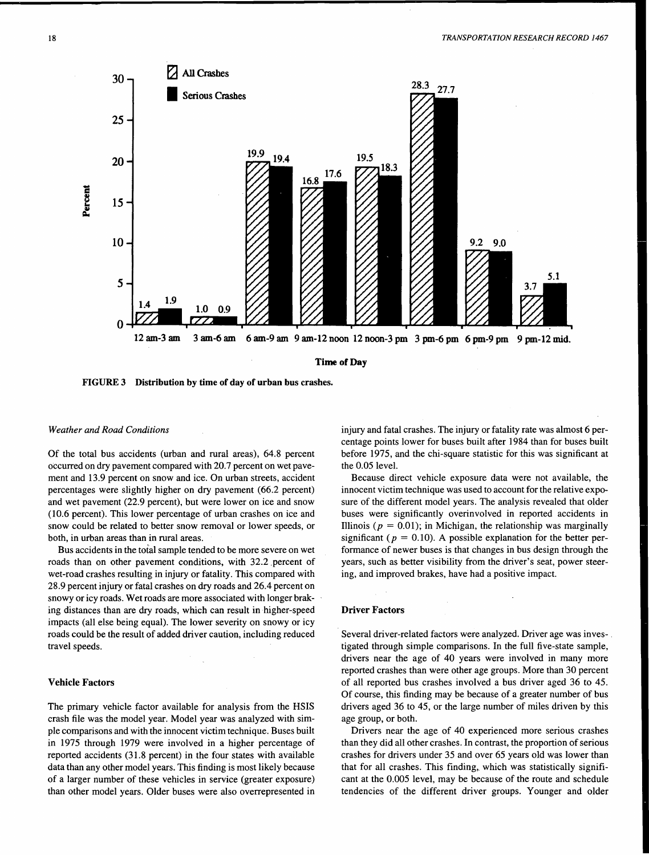

FIGURE 3 Distribution by time of day of urban bus crashes.

#### *Weather and Road Conditions*

Of the total bus accidents (urban and rural areas), 64.8 percent occurred on dry pavement compared with 20.7 percent on wet pavement and 13.9 percent on snow and ice. On urban streets, accident percentages were slightly higher on dry pavement (66.2 percent) and wet pavement (22.9 percent), but were lower on ice and snow (10.6 percent). This lower percentage of urban crashes on ice and snow could be related to better snow removal or lower speeds, or both, in urban areas than in rural areas.

Bus accidents in the total sample tended to be more severe on wet roads than on other pavement conditions, with 32.2 percent of wet-road crashes resulting in injury or fatality. This compared with 28.9 percent injury or fatal crashes on dry roads and 26.4 percent on snowy or icy roads. Wet roads are more associated with longer braking distances than are dry roads, which can result in higher-speed impacts (all else being equal). The lower severity on snowy or icy roads could be the result of added driver caution, including reduced travel speeds.

#### Vehicle Factors

The primary vehicle factor available for analysis from the HSIS crash file was the model year. Model year was analyzed with simple comparisons and with the innocent victim technique. Buses built in 1975 through 1979 were involved in a higher percentage of reported accidents (31.8 percent) in the four states with available data than any other model years. This finding is most likely because of a larger number of these vehicles in service (greater exposure) than other model years. Older buses were also overrepresented in

injury and fatal crashes. The injury or fatality rate was almost 6 percentage points lower for buses built after 1984 than for buses built before 1975, and the chi-square statistic for this was significant at the 0.05 level.

Because direct vehicle exposure data were not available, the innocent victim technique was used to account for the relative exposure of the different model years. The analysis revealed that older buses were significantly overinvolved in reported accidents in Illinois ( $p = 0.01$ ); in Michigan, the relationship was marginally significant ( $p = 0.10$ ). A possible explanation for the better performance of newer buses is that changes in bus design through the years, such as better visibility from the driver's seat, power steering, and improved brakes, have had a positive impact.

## Driver Factors

Several driver-related factors were analyzed. Driver age was investigated through simple comparisons. In the full five-state sample, drivers near the age of 40 years were involved in many more reported crashes than were other age groups. More than 30 percent of all reported bus crashes involved a bus driver aged 36 to 45. Of course, this finding may be because of a greater number of bus drivers aged 36 to 45, or the large number of miles driven by this age group, or both.

Drivers near the age of 40 experienced more serious crashes than they did all other crashes. In contrast, the proportion of serious crashes for drivers under 35 and over 65 years old was lower than that for all crashes. This finding, which was statistically significant at the 0.005 level, may be because of the route and schedule tendencies of the different driver groups. Younger and older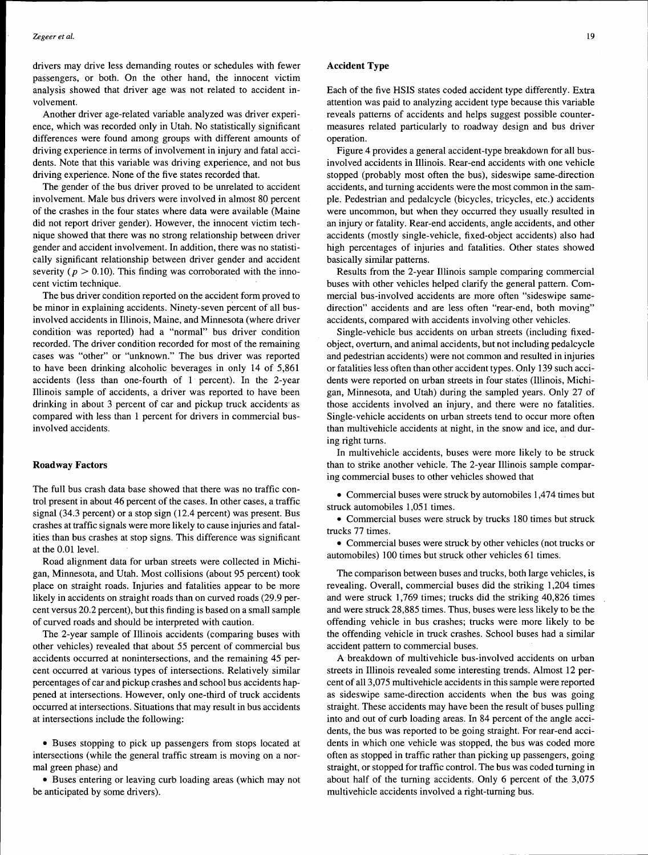drivers may drive less demanding routes or schedules with fewer passengers, or both. On the other hand, the innocent victim analysis showed that driver age was not related to accident involvement.

Another driver age-related variable analyzed was driver experience, which was recorded only in Utah. No statistically significant differences were found among groups with different amounts of driving experience in terms of involvement in injury and fatal accidents. Note that this variable was driving experience, and not bus driving experience. None of the five states recorded that.

The gender of the bus driver proved to be unrelated to accident involvement. Male bus drivers were involved in almost 80 percent of the crashes in the four states where data were available (Maine did not report driver gender). However, the innocent victim technique showed that there was no strong relationship between driver gender and accident involvement. In addition, there was no statistically significant relationship between driver gender and accident severity ( $p > 0.10$ ). This finding was corroborated with the innocent victim technique.

The bus driver condition reported on the accident form proved to be minor in explaining accidents. Ninety-seven percent of all businvolved accidents in Illinois, Maine, and Minnesota (where driver condition was reported) had a "normal" bus driver condition recorded. The driver condition recorded for most of the remaining cases was "other" or "unknown." The bus driver was reported to have been drinking alcoholic beverages in only 14 of 5,861 accidents (less than one-fourth of 1 percent). In the 2-year Illinois sample of accidents, a driver was reported to have been drinking in about 3 percent of car and pickup truck accidents· as compared with less than 1 percent for drivers in commercial businvolved accidents.

## **Roadway Factors**

The full bus crash data base showed that there was no traffic control present in about 46 percent of the cases. In other cases, a traffic signal (34.3 percent) or a stop sign (12.4 percent) was present. Bus crashes at traffic signals were more likely to cause injuries and fatalities than bus crashes at stop signs. This difference was significant at the 0.01 level.

Road alignment data for urban streets were collected in Michigan, Minnesota, and Utah. Most collisions (about 95 percent) took place on straight roads. Injuries and fatalities appear to be more likely in accidents on straight roads than on curved roads (29.9 percent versus 20.2 percent), but this finding is based on a small sample of curved roads and should be interpreted with caution.

The 2-year sample of Illinois accidents (comparing buses with other vehicles) revealed that about 55 percent of commercial bus accidents occurred at nonintersections, and the remaining 45 percent occurred at various types of intersections. Relatively similar percentages of car and pickup crashes and school bus accidents happened at intersections. However, only one-third of truck accidents occurred at intersections. Situations that may result in bus accidents at intersections include the following:

• Buses stopping to pick up passengers from stops located at intersections (while the general traffic stream is moving on a normal green phase) and

• Buses entering or leaving curb loading areas (which may not be anticipated by some drivers).

## **Accident Type**

Each of the five HSIS states coded accident type differently. Extra attention was paid to analyzing accident type because this variable reveals patterns of accidents and helps suggest possible countermeasures related particularly to roadway design and bus driver operation.

Figure 4 provides a general accident-type breakdown for all businvolved accidents in Illinois. Rear-end accidents with one vehicle stopped (probably most often the bus), sideswipe same-direction accidents, and turning accidents were the most common in the sample. Pedestrian and pedalcycle (bicycles, tricycles, etc.) accidents were uncommon, but when they occurred they usually resulted in an injury or fatality. Rear-end accidents, angle accidents, and other accidents (mostly single-vehicle, fixed-object accidents) also had high percentages of injuries and fatalities. Other states showed basically similar patterns.

Results from the 2-year Illinois sample comparing commercial buses with other vehicles helped clarify the general pattern. Commercial bus-involved accidents are more often "sideswipe samedirection" accidents and are less often "rear-end, both moving" accidents, compared with accidents involving other vehicles.

Single-vehicle bus accidents on urban streets (including fixedobject, overturn, and animal accidents, but not including pedalcycle and pedestrian accidents) were not common and resulted in injuries or fatalities less often than other accident types. Only 139 such accidents were reported on urban streets in four states (Illinois, Michigan, Minnesota, and Utah) during the sampled years. Only 27 of those accidents involved an injury, and there were no fatalities. Single-vehicle accidents on urban streets tend to occur more often than multivehicle accidents at night, in the snow and ice, and during right turns.

In multivehicle accidents, buses were more likely to be struck than to strike another vehicle. The 2-year Illinois sample comparing commercial buses to other vehicles showed that

• Commercial buses were struck by automobiles 1,474 times but struck automobiles 1,051 times.

• Commercial buses were struck by trucks 180 times but struck trucks 77 times.

• Commercial buses were strµck by other vehicles (not trucks or automobiles) 100 times but struck other vehicles 61 times.

The comparison between buses and trucks, both large vehicles, is revealing. Overall, commercial buses did the striking 1,204 times and were struck 1,769 times; trucks did the striking 40,826 times and were struck 28,885 times. Thus, buses were less likely to be the offending vehicle in bus crashes; trucks were more likely to be the offending vehicle in truck crashes. School buses had a similar accident pattern to commercial buses.

A breakdown of multivehicle bus-involved accidents on urban streets in Illinois revealed some interesting trends. Almost 12 percent of all 3,075 multi vehicle accidents in this sample were reported as sideswipe same-direction accidents when the bus was going straight. These accidents may have been the result of buses pulling into and out of curb loading areas. In 84 percent of the angle accidents, the bus was reported to be going straight. For rear-end accidents in which one vehicle was stopped, the bus was coded more often as stopped in traffic rather than picking up passengers, going straight, or stopped for traffic control. The bus was coded turning in about half of the turning accidents. Only 6 percent of the 3,075 multivehicle accidents involved a right-turning bus.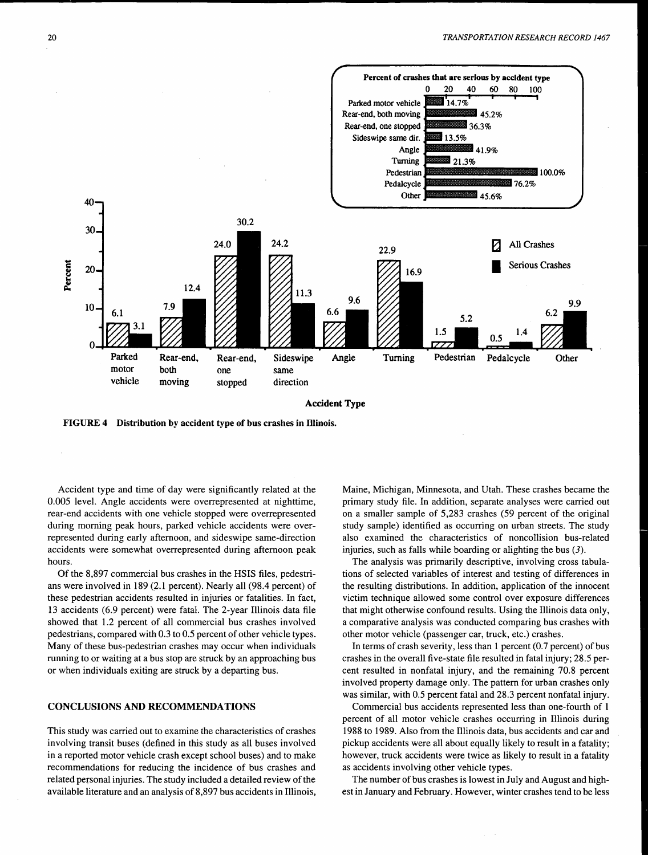

FIGURE 4 Distribution by accident type of bus crashes in Illinois.

Accident type and time of day were significantly related at the 0.005 level. Angle accidents were overrepresented at nighttime, rear-end accidents with one vehicle stopped were overrepresented during morning peak hours, parked vehicle accidents were overrepresented during early afternoon, and sideswipe same-direction accidents were somewhat overrepresented during afternoon peak hours.

Of the 8,897 commercial bus crashes in the HSIS files, pedestrians were involved in 189 (2.1 percent). Nearly all (98.4 percent) of these pedestrian accidents resulted in injuries or fatalities. In fact, 13 accidents (6.9 percent) were fatal. The 2-year Illinois data file showed that 1.2 percent of all commercial bus crashes involved pedestrians, compared with 0.3 to 0.5 percent of other vehicle types. Many of these bus-pedestrian crashes may occur when individuals running to or waiting at a bus stop are struck by an approaching bus or when individuals exiting are struck by a departing bus.

#### CONCLUSIONS AND RECOMMENDATIONS

This study was carried out to examine the characteristics of crashes involving transit buses (defined in this study as all buses involved in a reported motor vehicle crash except school buses) and to make recommendations for reducing the incidence of bus crashes and related personal injuries. The study included a detailed review of the available literature and an analysis of 8,897 bus accidents in Illinois, Maine, Michigan, Minnesota, and Utah. These crashes became the primary study file. In addition, separate analyses were carried out on a smaller sample of 5,283 crashes (59 percent of the original study sample) identified as occurring on urban streets. The study also examined the characteristics of noncollision bus-related injuries, such as falls while boarding or alighting the bus (3).

The analysis was primarily descriptive, involving cross tabulations of selected variables of interest and testing of differences in the resulting distributions. In addition, application of the innocent victim technique allowed some control over exposure differences that might otherwise confound results. Using the Illinois data only, a comparative analysis was conducted comparing bus crashes with other motor vehicle (passenger car, truck, etc.) crashes.

In terms of crash severity, less than 1 percent (0.7 percent) of bus crashes in the overall five-state file resulted in fatal injury; 28.5 percent resulted in nonfatal injury, and the remaining 70.8 percent involved property damage only. The pattern for urban crashes only was similar, with 0.5 percent fatal and 28.3 percent nonfatal injury.

Commercial bus accidents represented less than one-fourth of 1 percent of all motor vehicle crashes occurring in Illinois during 1988 to 1989. Also from the Illinois data, bus accidents and car and pickup accidents were all about equally likely to result in a fatality; however, truck accidents were twice as likely to result in a fatality as accidents involving other vehicle types.

The number of bus crashes is lowest in July and August and highest in January and February. However, winter crashes tend to be less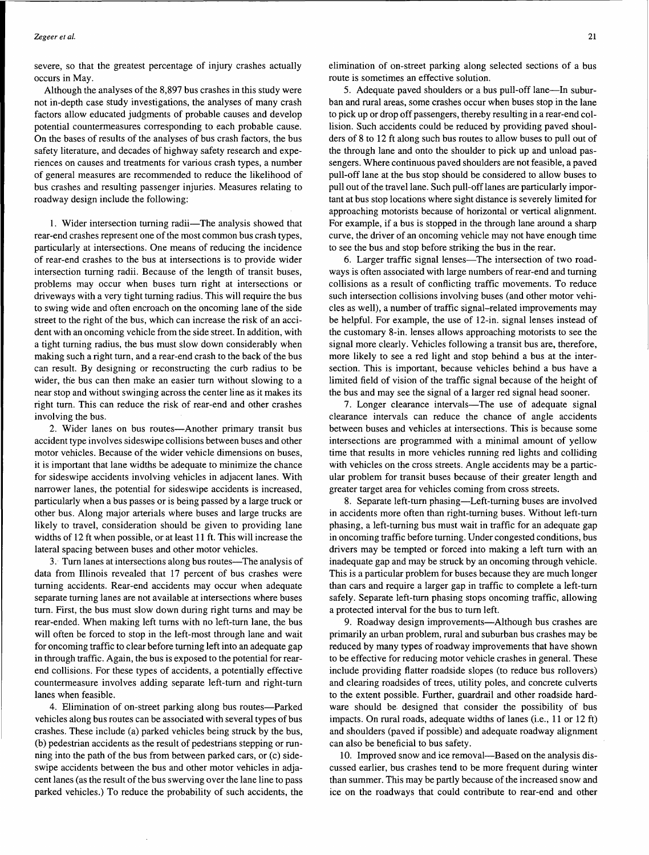severe, so that the greatest percentage of injury crashes actually occurs in May.

Although the analyses of the 8,897 bus crashes in this study were not in-depth case study investigations, the analyses of many crash factors allow educated judgments of probable causes and develop potential countermeasures corresponding to each probable cause. On the bases of results of the analyses of bus crash factors, the bus safety literature, and decades of highway safety research and experiences on causes and treatments for various crash types, a number of general measures are recommended to reduce the likelihood of bus crashes and resulting passenger injuries. Measures relating to roadway design include the following:

1. Wider intersection turning radii-The analysis showed that rear-end crashes represent one of the most common bus crash types, particularly at intersections. One means of reducing the incidence of rear-end crashes to the bus at intersections is to provide wider intersection turning radii. Because of the length of transit buses, problems may occur when buses tum right at intersections or driveways with a very tight turning radius. This will require the bus to swing wide and often encroach on the oncoming lane of the side street to the right of the bus, which can increase the risk of an accident with an oncoming vehicle from the side street. In addition, with a tight turning radius, the bus must slow down considerably when making such a right turn, and a rear-end crash to the back of the bus can result. By designing or reconstructing the curb radius to be wider, the bus can then make an easier turn without slowing to a near stop and without swinging across the center line as it makes its right turn. This can reduce the risk of rear-end and other crashes involving the bus.

2. Wider lanes on bus routes-Another primary transit bus accident type involves sideswipe collisions between buses and other motor vehicles. Because of the wider vehicle dimensions on buses, it is important that lane widths be adequate to minimize the chance for sideswipe accidents involving vehicles in adjacent lanes. With narrower lanes, the potential for sideswipe accidents is increased, particularly when a bus passes or is being passed by a large truck or other bus. Along major arterials where buses and large trucks are likely to travel, consideration should be given to providing lane widths of 12 ft when possible, or at least 11 ft. This will increase the lateral spacing between buses and other motor vehicles.

3. Turn lanes at intersections along bus routes—The analysis of data from Illinois revealed that 17 percent of bus crashes were turning accidents. Rear-end accidents may occur when adequate separate turning lanes are not available at intersections where buses turn. First, the bus must slow down during right turns and may be rear-ended. When making left turns with no left-turn lane, the bus will often be forced to stop in the left-most through lane and wait for oncoming traffic to clear before turning left into an adequate gap in through traffic. Again, the bus is exposed to the potential for rearend collisions. For these types of accidents, a potentially effective countermeasure involves adding separate left-turn and right-turn lanes when feasible.

4. Elimination of on-street parking along bus routes-Parked vehicles along bus routes can be associated with several types of bus crashes. These include (a) parked vehicles being struck by the bus, (b) pedestrian accidents as the result of pedestrians stepping or running into the path of the bus from between parked cars, or  $(c)$  sideswipe accidents between the bus and other motor vehicles in adjacent lanes (as the result of the bus swerving over the lane line to pass parked vehicles.) To reduce the probability of such accidents, the elimination of on-street parking along selected sections of a bus route is sometimes an effective solution.

5. Adequate paved shoulders or a bus pull-off lane—In suburban and rural areas, some crashes occur when buses stop in the lane to pick up or drop off passengers, thereby resulting in a rear-end collision. Such accidents could be reduced by providing paved shoulders of 8 to 12 ft along such bus routes to allow buses to pull out of the through lane and onto the shoulder to pick up and unload passengers. Where continuous paved shoulders are not feasible, a paved pull-off lane at the bus stop should be considered to allow buses to pull out of the travel lane. Such pull-off lanes are particularly important at bus stop locations where sight distance is severely limited for approaching motorists because of horizontal or vertical alignment. For example, if a bus is stopped in the through lane around a sharp curve, the driver of an oncoming vehicle may not have enough time to see the bus and stop before striking the bus in the rear.

6. Larger traffic signal lenses—The intersection of two roadways is often associated with large numbers of rear-end and turning collisions as a result of conflicting traffic movements. To reduce such intersection collisions involving buses (and other motor vehicles as well), a number of traffic signal-related improvements may be helpful. For example, the use of 12-in. signal lenses instead of the customary 8-in. lenses allows approaching motorists to see the signal more clearly. Vehicles following a transit bus are, therefore, more likely to see a red light and stop behind a bus at the intersection. This is important, because vehicles behind a bus have a limited field of vision of the traffic signal because of the height of the bus and may see the signal of a larger red signal head sooner.

7. Longer clearance intervals—The use of adequate signal clearance intervals can reduce the chance of angle accidents between buses and vehicles at intersections. This is because some intersections are programmed with a minimal amount of yellow time that results in more vehicles running red lights and colliding with vehicles on the cross streets. Angle accidents may be a particular problem for transit buses because of their greater length and greater target area for vehicles coming from cross streets.

8. Separate left-turn phasing—Left-turning buses are involved in accidents more often than right-turning buses. Without left-turn phasing, a left-turning bus must wait in traffic for an adequate gap in oncoming traffic before turning. Under congested conditions, bus drivers may be tempted or forced into making a left turn with an inadequate gap and may be struck by an oncoming through vehicle. This is a particular problem for buses because they are much longer than cars and require a larger gap in traffic to complete a left-turn safely. Separate left-turn phasing stops oncoming traffic, allowing a protected interval for the bus to turn left.

9. Roadway design improvements-Although bus crashes are primarily an urban problem, rural and suburban bus crashes may be reduced by many types of roadway improvements that have shown to be effective for reducing motor vehicle crashes in general. These include providing flatter roadside slopes (to reduce bus rollovers) and clearing roadsides of trees, utility poles, and concrete culverts to the extent possible. Further, guardrail and other roadside hardware should be. designed that consider the possibility of bus impacts. On rural roads, adequate widths of lanes (i.e., 11 or 12 ft) and shoulders (paved if possible) and adequate roadway alignment can also be beneficial to bus safety.

10. Improved snow and ice removal—Based on the analysis discussed earlier, bus crashes tend to be more frequent during winter than summer. This may be partly because of the increased snow and ice on the roadways that could contribute to rear-end and other